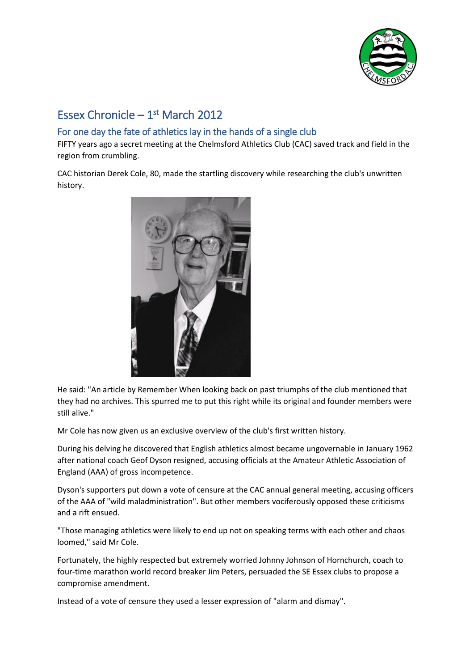

# Essex Chronicle  $-1<sup>st</sup>$  March 2012

# For one day the fate of athletics lay in the hands of a single club

FIFTY years ago a secret meeting at the Chelmsford Athletics Club (CAC) saved track and field in the region from crumbling.

CAC historian Derek Cole, 80, made the startling discovery while researching the club's unwritten history.



He said: "An article by Remember When looking back on past triumphs of the club mentioned that they had no archives. This spurred me to put this right while its original and founder members were still alive."

Mr Cole has now given us an exclusive overview of the club's first written history.

During his delving he discovered that English athletics almost became ungovernable in January 1962 after national coach Geof Dyson resigned, accusing officials at the Amateur Athletic Association of England (AAA) of gross incompetence.

Dyson's supporters put down a vote of censure at the CAC annual general meeting, accusing officers of the AAA of "wild maladministration". But other members vociferously opposed these criticisms and a rift ensued.

"Those managing athletics were likely to end up not on speaking terms with each other and chaos loomed," said Mr Cole.

Fortunately, the highly respected but extremely worried Johnny Johnson of Hornchurch, coach to four-time marathon world record breaker Jim Peters, persuaded the SE Essex clubs to propose a compromise amendment.

Instead of a vote of censure they used a lesser expression of "alarm and dismay".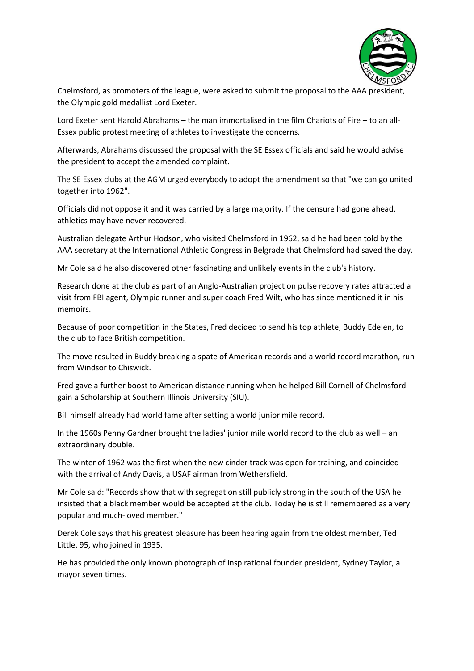

Chelmsford, as promoters of the league, were asked to submit the proposal to the AAA president, the Olympic gold medallist Lord Exeter.

Lord Exeter sent Harold Abrahams – the man immortalised in the film Chariots of Fire – to an all-Essex public protest meeting of athletes to investigate the concerns.

Afterwards, Abrahams discussed the proposal with the SE Essex officials and said he would advise the president to accept the amended complaint.

The SE Essex clubs at the AGM urged everybody to adopt the amendment so that "we can go united together into 1962".

Officials did not oppose it and it was carried by a large majority. If the censure had gone ahead, athletics may have never recovered.

Australian delegate Arthur Hodson, who visited Chelmsford in 1962, said he had been told by the AAA secretary at the International Athletic Congress in Belgrade that Chelmsford had saved the day.

Mr Cole said he also discovered other fascinating and unlikely events in the club's history.

Research done at the club as part of an Anglo-Australian project on pulse recovery rates attracted a visit from FBI agent, Olympic runner and super coach Fred Wilt, who has since mentioned it in his memoirs.

Because of poor competition in the States, Fred decided to send his top athlete, Buddy Edelen, to the club to face British competition.

The move resulted in Buddy breaking a spate of American records and a world record marathon, run from Windsor to Chiswick.

Fred gave a further boost to American distance running when he helped Bill Cornell of Chelmsford gain a Scholarship at Southern Illinois University (SIU).

Bill himself already had world fame after setting a world junior mile record.

In the 1960s Penny Gardner brought the ladies' junior mile world record to the club as well – an extraordinary double.

The winter of 1962 was the first when the new cinder track was open for training, and coincided with the arrival of Andy Davis, a USAF airman from Wethersfield.

Mr Cole said: "Records show that with segregation still publicly strong in the south of the USA he insisted that a black member would be accepted at the club. Today he is still remembered as a very popular and much-loved member."

Derek Cole says that his greatest pleasure has been hearing again from the oldest member, Ted Little, 95, who joined in 1935.

He has provided the only known photograph of inspirational founder president, Sydney Taylor, a mayor seven times.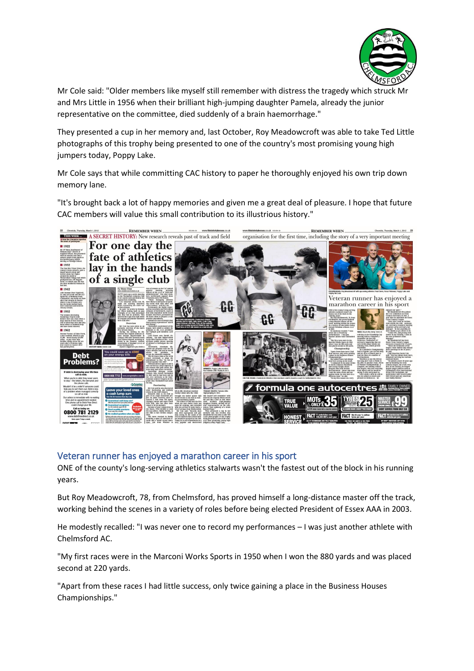

Mr Cole said: "Older members like myself still remember with distress the tragedy which struck Mr and Mrs Little in 1956 when their brilliant high-jumping daughter Pamela, already the junior representative on the committee, died suddenly of a brain haemorrhage."

They presented a cup in her memory and, last October, Roy Meadowcroft was able to take Ted Little photographs of this trophy being presented to one of the country's most promising young high jumpers today, Poppy Lake.

Mr Cole says that while committing CAC history to paper he thoroughly enjoyed his own trip down memory lane.

"It's brought back a lot of happy memories and given me a great deal of pleasure. I hope that future CAC members will value this small contribution to its illustrious history."



#### Veteran runner has enjoyed a marathon career in his sport

ONE of the county's long-serving athletics stalwarts wasn't the fastest out of the block in his running years.

But Roy Meadowcroft, 78, from Chelmsford, has proved himself a long-distance master off the track, working behind the scenes in a variety of roles before being elected President of Essex AAA in 2003.

He modestly recalled: "I was never one to record my performances – I was just another athlete with Chelmsford AC.

"My first races were in the Marconi Works Sports in 1950 when I won the 880 yards and was placed second at 220 yards.

"Apart from these races I had little success, only twice gaining a place in the Business Houses Championships."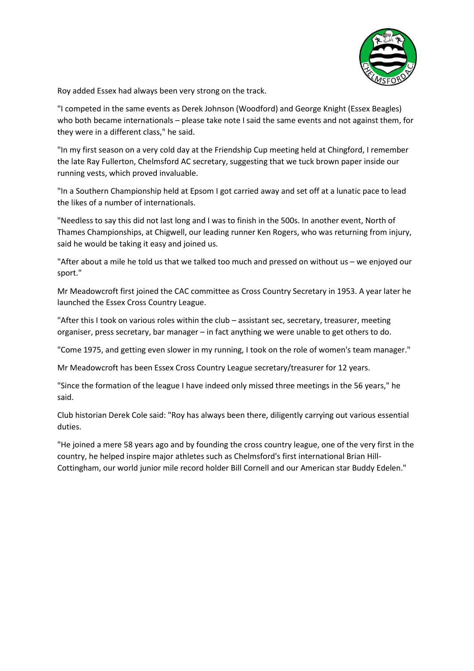

Roy added Essex had always been very strong on the track.

"I competed in the same events as Derek Johnson (Woodford) and George Knight (Essex Beagles) who both became internationals – please take note I said the same events and not against them, for they were in a different class," he said.

"In my first season on a very cold day at the Friendship Cup meeting held at Chingford, I remember the late Ray Fullerton, Chelmsford AC secretary, suggesting that we tuck brown paper inside our running vests, which proved invaluable.

"In a Southern Championship held at Epsom I got carried away and set off at a lunatic pace to lead the likes of a number of internationals.

"Needless to say this did not last long and I was to finish in the 500s. In another event, North of Thames Championships, at Chigwell, our leading runner Ken Rogers, who was returning from injury, said he would be taking it easy and joined us.

"After about a mile he told us that we talked too much and pressed on without us – we enjoyed our sport."

Mr Meadowcroft first joined the CAC committee as Cross Country Secretary in 1953. A year later he launched the Essex Cross Country League.

"After this I took on various roles within the club - assistant sec, secretary, treasurer, meeting organiser, press secretary, bar manager – in fact anything we were unable to get others to do.

"Come 1975, and getting even slower in my running, I took on the role of women's team manager."

Mr Meadowcroft has been Essex Cross Country League secretary/treasurer for 12 years.

"Since the formation of the league I have indeed only missed three meetings in the 56 years," he said.

Club historian Derek Cole said: "Roy has always been there, diligently carrying out various essential duties.

"He joined a mere 58 years ago and by founding the cross country league, one of the very first in the country, he helped inspire major athletes such as Chelmsford's first international Brian Hill-Cottingham, our world junior mile record holder Bill Cornell and our American star Buddy Edelen."